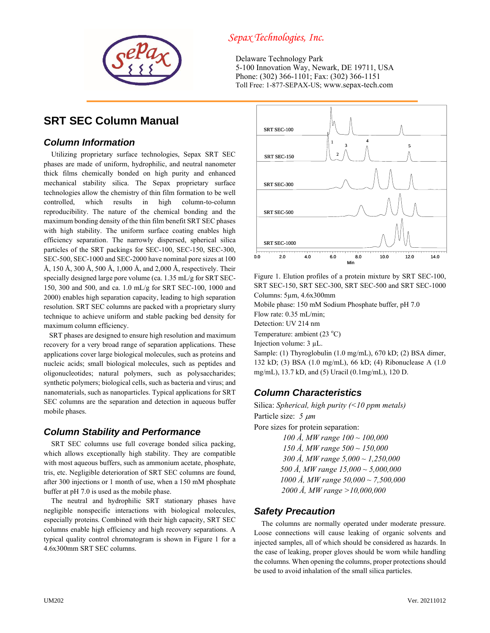

## *Sepax Technologies, Inc.*

Delaware Technology Park 5-100 Innovation Way, Newark, DE 19711, USA Phone: (302) 366-1101; Fax: (302) 366-1151 Toll Free: 1-877-SEPAX-US; www.sepax-tech.com

# **SRT SEC Column Manual**

### *Column Information*

Utilizing proprietary surface technologies, Sepax SRT SEC phases are made of uniform, hydrophilic, and neutral nanometer thick films chemically bonded on high purity and enhanced mechanical stability silica. The Sepax proprietary surface technologies allow the chemistry of thin film formation to be well controlled, which results in high column-to-column reproducibility. The nature of the chemical bonding and the maximum bonding density of the thin film benefit SRT SEC phases with high stability. The uniform surface coating enables high efficiency separation. The narrowly dispersed, spherical silica particles of the SRT packings for SEC-100, SEC-150, SEC-300, SEC-500, SEC-1000 and SEC-2000 have nominal pore sizes at 100 Å, 150 Å, 300 Å, 500 Å, 1,000 Å, and 2,000 Å, respectively. Their specially designed large pore volume (ca. 1.35 mL/g for SRT SEC-150, 300 and 500, and ca. 1.0 mL/g for SRT SEC-100, 1000 and 2000) enables high separation capacity, leading to high separation resolution. SRT SEC columns are packed with a proprietary slurry technique to achieve uniform and stable packing bed density for maximum column efficiency.

 SRT phases are designed to ensure high resolution and maximum recovery for a very broad range of separation applications. These applications cover large biological molecules, such as proteins and nucleic acids; small biological molecules, such as peptides and oligonucleotides; natural polymers, such as polysaccharides; synthetic polymers; biological cells, such as bacteria and virus; and nanomaterials, such as nanoparticles. Typical applications for SRT SEC columns are the separation and detection in aqueous buffer mobile phases.

### *Column Stability and Performance*

SRT SEC columns use full coverage bonded silica packing, which allows exceptionally high stability. They are compatible with most aqueous buffers, such as ammonium acetate, phosphate, tris, etc. Negligible deterioration of SRT SEC columns are found, after 300 injections or 1 month of use, when a 150 mM phosphate buffer at pH 7.0 is used as the mobile phase.

The neutral and hydrophilic SRT stationary phases have negligible nonspecific interactions with biological molecules, especially proteins. Combined with their high capacity, SRT SEC columns enable high efficiency and high recovery separations. A typical quality control chromatogram is shown in Figure 1 for a 4.6x300mm SRT SEC columns.



Figure 1. Elution profiles of a protein mixture by SRT SEC-100, SRT SEC-150, SRT SEC-300, SRT SEC-500 and SRT SEC-1000 Columns: 5µm, 4.6x300mm

Mobile phase: 150 mM Sodium Phosphate buffer, pH 7.0

Flow rate: 0.35 mL/min;

Detection: UV 214 nm

Temperature: ambient  $(23 °C)$ 

Injection volume: 3 µL.

Sample: (1) Thyroglobulin (1.0 mg/mL), 670 kD; (2) BSA dimer, 132 kD; (3) BSA (1.0 mg/mL), 66 kD; (4) Ribonuclease A (1.0 mg/mL), 13.7 kD, and (5) Uracil (0.1mg/mL), 120 D.

## *Column Characteristics*

Silica: *Spherical, high purity (<10 ppm metals)* Particle size: *5 m* Pore sizes for protein separation: *100 Å, MW range 100 ~ 100,000*

*150 Å, MW range 500 ~ 150,000 300 Å, MW range 5,000 ~ 1,250,000 500 Å, MW range 15,000 ~ 5,000,000 1000 Å, MW range 50,000 ~ 7,500,000 2000 Å, MW range >10,000,000*

### *Safety Precaution*

The columns are normally operated under moderate pressure. Loose connections will cause leaking of organic solvents and injected samples, all of which should be considered as hazards. In the case of leaking, proper gloves should be worn while handling the columns. When opening the columns, proper protections should be used to avoid inhalation of the small silica particles.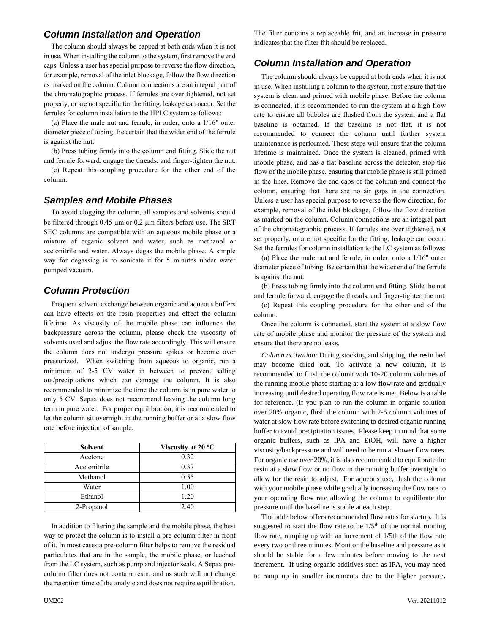#### *Column Installation and Operation*

The column should always be capped at both ends when it is not in use. When installing the column to the system, first remove the end caps. Unless a user has special purpose to reverse the flow direction, for example, removal of the inlet blockage, follow the flow direction as marked on the column. Column connections are an integral part of the chromatographic process. If ferrules are over tightened, not set properly, or are not specific for the fitting, leakage can occur. Set the ferrules for column installation to the HPLC system as follows:

(a) Place the male nut and ferrule, in order, onto a 1/16" outer diameter piece of tubing. Be certain that the wider end of the ferrule is against the nut.

(b) Press tubing firmly into the column end fitting. Slide the nut and ferrule forward, engage the threads, and finger-tighten the nut.

(c) Repeat this coupling procedure for the other end of the column.

#### *Samples and Mobile Phases*

To avoid clogging the column, all samples and solvents should be filtered through 0.45 µm or 0.2 µm filters before use. The SRT SEC columns are compatible with an aqueous mobile phase or a mixture of organic solvent and water, such as methanol or acetonitrile and water. Always degas the mobile phase. A simple way for degassing is to sonicate it for 5 minutes under water pumped vacuum.

### *Column Protection*

Frequent solvent exchange between organic and aqueous buffers can have effects on the resin properties and effect the column lifetime. As viscosity of the mobile phase can influence the backpressure across the column, please check the viscosity of solvents used and adjust the flow rate accordingly. This will ensure the column does not undergo pressure spikes or become over pressurized. When switching from aqueous to organic, run a minimum of 2-5 CV water in between to prevent salting out/precipitations which can damage the column. It is also recommended to minimize the time the column is in pure water to only 5 CV. Sepax does not recommend leaving the column long term in pure water. For proper equilibration, it is recommended to let the column sit overnight in the running buffer or at a slow flow rate before injection of sample.

| <b>Solvent</b> | Viscosity at 20 °C |
|----------------|--------------------|
| Acetone        | 0.32               |
| Acetonitrile   | 0.37               |
| Methanol       | 0.55               |
| Water          | 1.00               |
| Ethanol        | 1.20               |
| 2-Propanol     | 2.40               |

In addition to filtering the sample and the mobile phase, the best way to protect the column is to install a pre-column filter in front of it. In most cases a pre-column filter helps to remove the residual particulates that are in the sample, the mobile phase, or leached from the LC system, such as pump and injector seals. A Sepax precolumn filter does not contain resin, and as such will not change the retention time of the analyte and does not require equilibration.

The filter contains a replaceable frit, and an increase in pressure indicates that the filter frit should be replaced.

### *Column Installation and Operation*

The column should always be capped at both ends when it is not in use. When installing a column to the system, first ensure that the system is clean and primed with mobile phase. Before the column is connected, it is recommended to run the system at a high flow rate to ensure all bubbles are flushed from the system and a flat baseline is obtained. If the baseline is not flat, it is not recommended to connect the column until further system maintenance is performed. These steps will ensure that the column lifetime is maintained. Once the system is cleaned, primed with mobile phase, and has a flat baseline across the detector, stop the flow of the mobile phase, ensuring that mobile phase is still primed in the lines. Remove the end caps of the column and connect the column, ensuring that there are no air gaps in the connection. Unless a user has special purpose to reverse the flow direction, for example, removal of the inlet blockage, follow the flow direction as marked on the column. Column connections are an integral part of the chromatographic process. If ferrules are over tightened, not set properly, or are not specific for the fitting, leakage can occur. Set the ferrules for column installation to the LC system as follows:

(a) Place the male nut and ferrule, in order, onto a 1/16" outer diameter piece of tubing. Be certain that the wider end of the ferrule is against the nut.

(b) Press tubing firmly into the column end fitting. Slide the nut and ferrule forward, engage the threads, and finger-tighten the nut.

(c) Repeat this coupling procedure for the other end of the column.

Once the column is connected, start the system at a slow flow rate of mobile phase and monitor the pressure of the system and ensure that there are no leaks.

*Column activation*: During stocking and shipping, the resin bed may become dried out. To activate a new column, it is recommended to flush the column with 10-20 column volumes of the running mobile phase starting at a low flow rate and gradually increasing until desired operating flow rate is met. Below is a table for reference. (If you plan to run the column in organic solution over 20% organic, flush the column with 2-5 column volumes of water at slow flow rate before switching to desired organic running buffer to avoid precipitation issues. Please keep in mind that some organic buffers, such as IPA and EtOH, will have a higher viscosity/backpressure and will need to be run at slower flow rates. For organic use over 20%, it is also recommended to equilibrate the resin at a slow flow or no flow in the running buffer overnight to allow for the resin to adjust. For aqueous use, flush the column with your mobile phase while gradually increasing the flow rate to your operating flow rate allowing the column to equilibrate the pressure until the baseline is stable at each step.

The table below offers recommended flow rates for startup. It is suggested to start the flow rate to be  $1/5<sup>th</sup>$  of the normal running flow rate, ramping up with an increment of 1/5th of the flow rate every two or three minutes. Monitor the baseline and pressure as it should be stable for a few minutes before moving to the next increment. If using organic additives such as IPA, you may need to ramp up in smaller increments due to the higher pressure.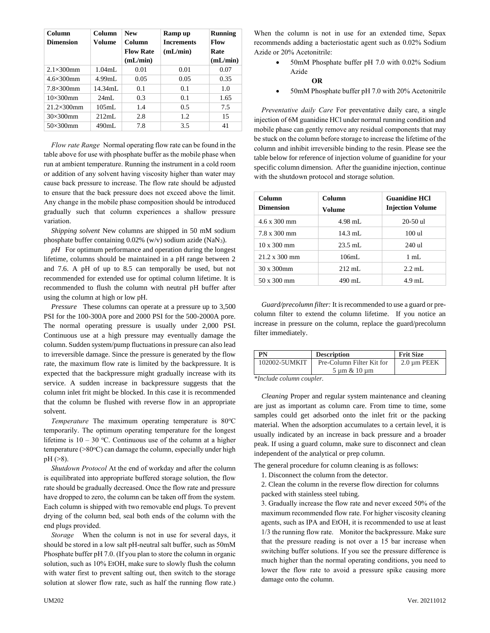| Column              | Column                           | <b>New</b>       | Ramp up           | Running  |
|---------------------|----------------------------------|------------------|-------------------|----------|
| <b>Dimension</b>    | Volume                           | Column           | <b>Increments</b> | Flow     |
|                     |                                  | <b>Flow Rate</b> | (mL/min)          | Rate     |
|                     |                                  | (mL/min)         |                   | (mL/min) |
| $2.1\times300$ mm   | $1.04$ mL                        | 0.01             | 0.01              | 0.07     |
| $4.6 \times 300$ mm | 4.99 <sub>m</sub> I <sub>s</sub> | 0.05             | 0.05              | 0.35     |
| $7.8\times300$ mm   | $14.34$ mL                       | 0.1              | 0.1               | 1.0      |
| $10\times300$ mm    | $24 \text{mL}$                   | 0.3              | 0.1               | 1.65     |
| $21.2\times300$ mm  | 105mL                            | 1.4              | 0.5               | 7.5      |
| $30\times300$ mm    | 212mL                            | 2.8              | 1.2               | 15       |
| $50\times300$ mm    | 490mL                            | 7.8              | 3.5               | 41       |

*Flow rate Range* Normal operating flow rate can be found in the table above for use with phosphate buffer as the mobile phase when run at ambient temperature. Running the instrument in a cold room or addition of any solvent having viscosity higher than water may cause back pressure to increase. The flow rate should be adjusted to ensure that the back pressure does not exceed above the limit. Any change in the mobile phase composition should be introduced gradually such that column experiences a shallow pressure variation.

*Shipping solvent* New columns are shipped in 50 mM sodium phosphate buffer containing 0.02% (w/v) sodium azide (NaN3).

*pH* For optimum performance and operation during the longest lifetime, columns should be maintained in a pH range between 2 and 7.6. A pH of up to 8.5 can temporally be used, but not recommended for extended use for optimal column lifetime. It is recommended to flush the column with neutral pH buffer after using the column at high or low pH.

*Pressure* These columns can operate at a pressure up to 3,500 PSI for the 100-300A pore and 2000 PSI for the 500-2000A pore. The normal operating pressure is usually under 2,000 PSI. Continuous use at a high pressure may eventually damage the column. Sudden system/pump fluctuations in pressure can also lead to irreversible damage. Since the pressure is generated by the flow rate, the maximum flow rate is limited by the backpressure. It is expected that the backpressure might gradually increase with its service. A sudden increase in backpressure suggests that the column inlet frit might be blocked. In this case it is recommended that the column be flushed with reverse flow in an appropriate solvent.

*Temperature* The maximum operating temperature is 80°C temporarily. The optimum operating temperature for the longest lifetime is  $10 - 30$  °C. Continuous use of the column at a higher temperature ( $>80^{\circ}$ C) can damage the column, especially under high pH (>8).

*Shutdown Protocol* At the end of workday and after the column is equilibrated into appropriate buffered storage solution, the flow rate should be gradually decreased. Once the flow rate and pressure have dropped to zero, the column can be taken off from the system. Each column is shipped with two removable end plugs. To prevent drying of the column bed, seal both ends of the column with the end plugs provided.

*Storage* When the column is not in use for several days, it should be stored in a low salt pH-neutral salt buffer, such as 50mM Phosphate buffer pH 7.0. (If you plan to store the column in organic solution, such as 10% EtOH, make sure to slowly flush the column with water first to prevent salting out, then switch to the storage solution at slower flow rate, such as half the running flow rate.)

When the column is not in use for an extended time, Sepax recommends adding a bacteriostatic agent such as 0.02% Sodium Azide or 20% Acetonitrile:

> • 50mM Phosphate buffer pH 7.0 with 0.02% Sodium Azide

#### **OR**

• 50mM Phosphate buffer pH 7.0 with 20% Acetonitrile

*Preventative daily Care* For preventative daily care, a single injection of 6M guanidine HCl under normal running condition and mobile phase can gently remove any residual components that may be stuck on the column before storage to increase the lifetime of the column and inhibit irreversible binding to the resin. Please see the table below for reference of injection volume of guanidine for your specific column dimension. After the guanidine injection, continue with the shutdown protocol and storage solution.

| Column<br><b>Dimension</b>  | Column<br>Volume   | <b>Guanidine HCI</b><br><b>Injection Volume</b> |
|-----------------------------|--------------------|-------------------------------------------------|
| $4.6 \times 300 \text{ mm}$ | $4.98$ mL          | $20 - 50$ ul                                    |
| 7.8 x 300 mm                | $14.3 \text{ mL}$  | 100 ul                                          |
| $10 \times 300$ mm          | $23.5 \text{ mL}$  | $240$ ul                                        |
| $21.2 \times 300$ mm        | 106mL              | $1 \text{ mL}$                                  |
| $30 \times 300$ mm          | $212 \text{ mL}$ . | $2.2 \text{ mL}$ .                              |
| 50 x 300 mm                 | 490 mL             | $4.9$ mL                                        |

*Guard/precolumn filter:* It is recommended to use a guard or precolumn filter to extend the column lifetime. If you notice an increase in pressure on the column, replace the guard/precolumn filter immediately.

| Pre-Column Filter Kit for<br>$2.0 \mu m$ PEEK<br>102002-5UMKIT |  |
|----------------------------------------------------------------|--|
|                                                                |  |
| $5 \text{ um} \& 10 \text{ um}$                                |  |

*\*Include column coupler.*

*Cleaning* Proper and regular system maintenance and cleaning are just as important as column care. From time to time, some samples could get adsorbed onto the inlet frit or the packing material. When the adsorption accumulates to a certain level, it is usually indicated by an increase in back pressure and a broader peak. If using a guard column, make sure to disconnect and clean independent of the analytical or prep column.

The general procedure for column cleaning is as follows:

- 1. Disconnect the column from the detector.
- 2. Clean the column in the reverse flow direction for columns packed with stainless steel tubing.

3. Gradually increase the flow rate and never exceed 50% of the maximum recommended flow rate. For higher viscosity cleaning agents, such as IPA and EtOH, it is recommended to use at least 1/3 the running flow rate. Monitor the backpressure. Make sure that the pressure reading is not over a 15 bar increase when switching buffer solutions. If you see the pressure difference is much higher than the normal operating conditions, you need to lower the flow rate to avoid a pressure spike causing more damage onto the column.